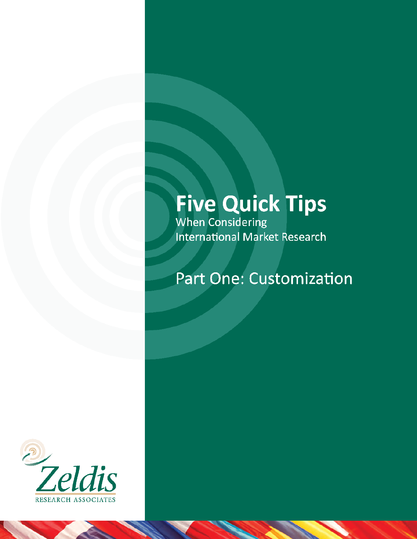# **Five Quick Tips**<br>When Considering

International Market Research

## Part One: Customization

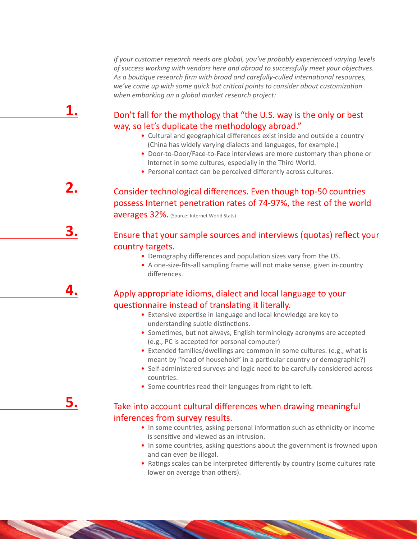*If your customer research needs are global, you've probably experienced varying levels of success working with vendors here and abroad to successfully meet your objectives. As a boutique research firm with broad and carefully-culled international resources, we've come up with some quick but critical points to consider about customization when embarking on a global market research project:*

#### Don't fall for the mythology that "the U.S. way is the only or best way, so let's duplicate the methodology abroad."

**1.**

**2.**

**3.**

**4.**

**5.**

- Cultural and geographical differences exist inside and outside a country (China has widely varying dialects and languages, for example.)
- Door-to-Door/Face-to-Face interviews are more customary than phone or Internet in some cultures, especially in the Third World.
- Personal contact can be perceived differently across cultures.

### Consider technological differences. Even though top-50 countries possess Internet penetration rates of 74-97%, the rest of the world averages 32%. (Source: Internet World Stats)

#### Ensure that your sample sources and interviews (quotas) reflect your country targets.

- Demography differences and population sizes vary from the US.
- A one-size-fits-all sampling frame will not make sense, given in-country differences.

#### Apply appropriate idioms, dialect and local language to your questionnaire instead of translating it literally.

- Extensive expertise in language and local knowledge are key to understanding subtle distinctions.
- Sometimes, but not always, English terminology acronyms are accepted (e.g., PC is accepted for personal computer)
- Extended families/dwellings are common in some cultures. (e.g., what is meant by "head of household" in a particular country or demographic?)
- Self-administered surveys and logic need to be carefully considered across countries.
- Some countries read their languages from right to left.

#### Take into account cultural differences when drawing meaningful inferences from survey results.

- In some countries, asking personal information such as ethnicity or income is sensitive and viewed as an intrusion.
- In some countries, asking questions about the government is frowned upon and can even be illegal.
- Ratings scales can be interpreted differently by country (some cultures rate lower on average than others).